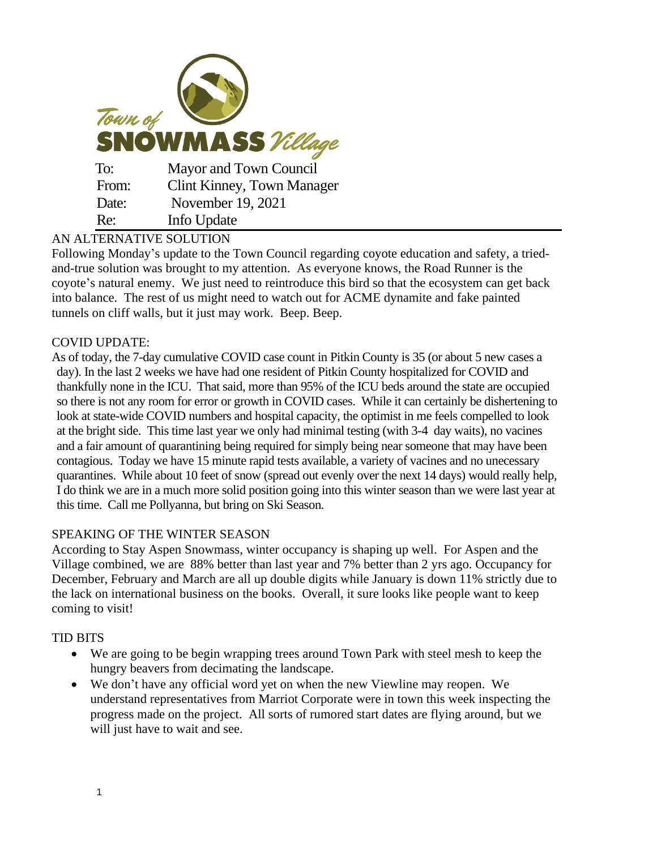| Town of<br><b>SNOWMASS</b> Village |                                   |
|------------------------------------|-----------------------------------|
| To:                                | Mayor and Town Council            |
| From:                              | <b>Clint Kinney, Town Manager</b> |
| Date:                              | November 19, 2021                 |
| Re:                                | Info Update                       |

## AN ALTERNATIVE SOLUTION

Following Monday's update to the Town Council regarding coyote education and safety, a triedand-true solution was brought to my attention. As everyone knows, the Road Runner is the coyote's natural enemy. We just need to reintroduce this bird so that the ecosystem can get back into balance. The rest of us might need to watch out for ACME dynamite and fake painted tunnels on cliff walls, but it just may work. Beep. Beep.

## COVID UPDATE:

As of today, the 7-day cumulative COVID case count in Pitkin County is 35 (or about 5 new cases a day). In the last 2 weeks we have had one resident of Pitkin County hospitalized for COVID and thankfully none in the ICU. That said, more than 95% of the ICU beds around the state are occupied so there is not any room for error or growth in COVID cases. While it can certainly be dishertening to look at state-wide COVID numbers and hospital capacity, the optimist in me feels compelled to look at the bright side. This time last year we only had minimal testing (with 3-4 day waits), no vacines and a fair amount of quarantining being required for simply being near someone that may have been contagious. Today we have 15 minute rapid tests available, a variety of vacines and no unecessary quarantines. While about 10 feet of snow (spread out evenly over the next 14 days) would really help, I do think we are in a much more solid position going into this winter season than we were last year at this time. Call me Pollyanna, but bring on Ski Season.

## SPEAKING OF THE WINTER SEASON

According to Stay Aspen Snowmass, winter occupancy is shaping up well. For Aspen and the Village combined, we are 88% better than last year and 7% better than 2 yrs ago. Occupancy for December, February and March are all up double digits while January is down 11% strictly due to the lack on international business on the books. Overall, it sure looks like people want to keep coming to visit!

## TID BITS

- We are going to be begin wrapping trees around Town Park with steel mesh to keep the hungry beavers from decimating the landscape.
- We don't have any official word yet on when the new Viewline may reopen. We understand representatives from Marriot Corporate were in town this week inspecting the progress made on the project. All sorts of rumored start dates are flying around, but we will just have to wait and see.